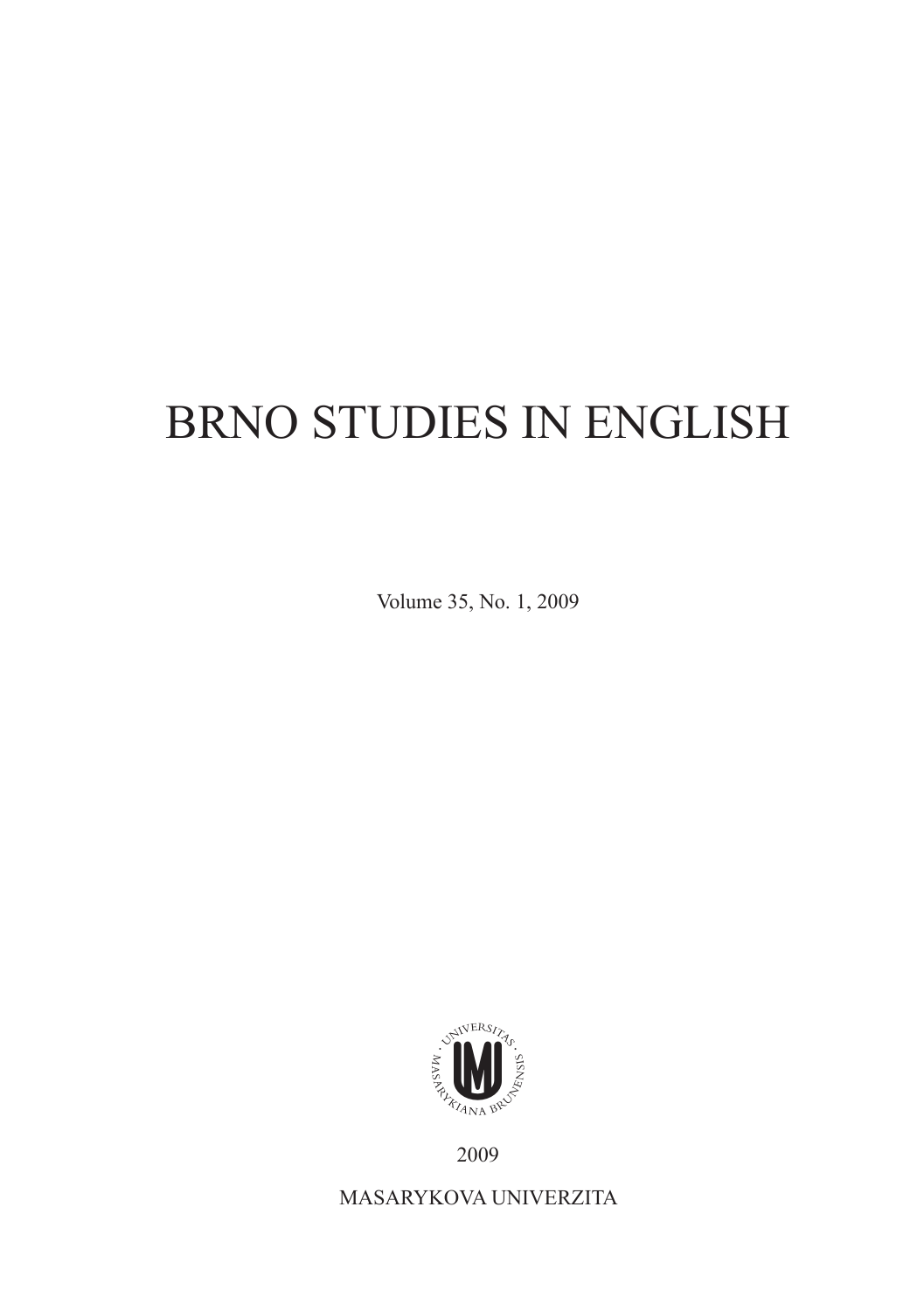## Brno Studies in English

Volume 35, No. 1, 2009



2009

MASARYKOVA UNIVERZITa